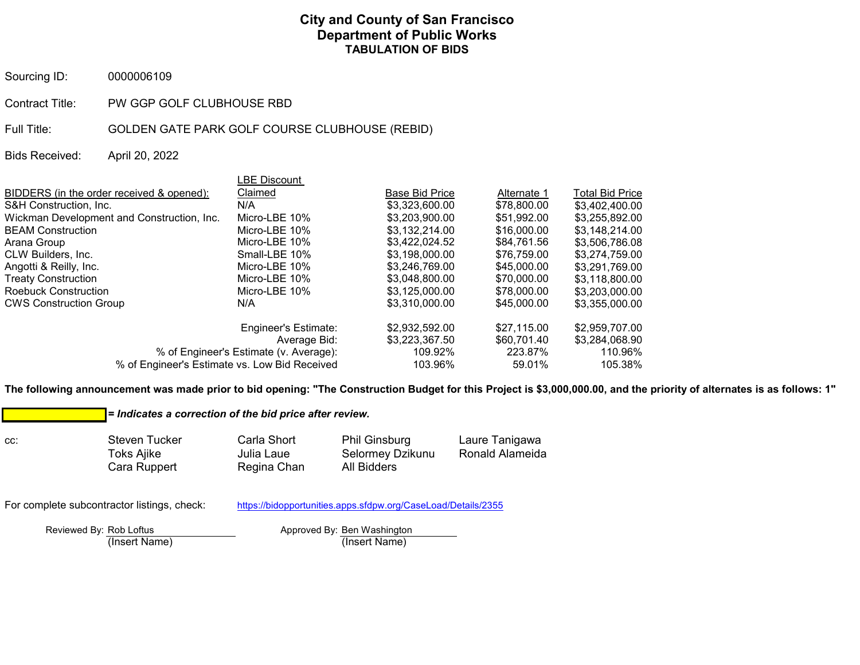## **City and County of San Francisco Department of Public Works TABULATION OF BIDS**

Sourcing ID: 0000006109

Contract Title: PW GGP GOLF CLUBHOUSE RBD

Full Title: GOLDEN GATE PARK GOLF COURSE CLUBHOUSE (REBID)

Bids Received: April 20, 2022

|                                            | LBE Discount                                  |                       |             |                        |
|--------------------------------------------|-----------------------------------------------|-----------------------|-------------|------------------------|
| BIDDERS (in the order received & opened):  | Claimed                                       | <b>Base Bid Price</b> | Alternate 1 | <b>Total Bid Price</b> |
| S&H Construction. Inc.                     | N/A                                           | \$3,323,600.00        | \$78,800.00 | \$3,402,400.00         |
| Wickman Development and Construction, Inc. | Micro-LBE 10%                                 | \$3,203,900.00        | \$51,992.00 | \$3,255,892.00         |
| BEAM Construction                          | Micro-LBE 10%                                 | \$3.132.214.00        | \$16,000.00 | \$3.148.214.00         |
| Arana Group                                | Micro-LBE 10%                                 | \$3,422,024.52        | \$84,761.56 | \$3,506,786,08         |
| CLW Builders. Inc.                         | Small-LBE 10%                                 | \$3.198.000.00        | \$76,759.00 | \$3,274,759.00         |
| Angotti & Reilly, Inc.                     | Micro-LBE 10%                                 | \$3,246,769.00        | \$45,000.00 | \$3.291.769.00         |
| <b>Treaty Construction</b>                 | Micro-LBE 10%                                 | \$3.048.800.00        | \$70,000.00 | \$3.118.800.00         |
| Roebuck Construction                       | Micro-LBE 10%                                 | \$3,125,000.00        | \$78,000.00 | \$3,203,000,00         |
| <b>CWS Construction Group</b>              | N/A                                           | \$3,310,000,00        | \$45,000.00 | \$3.355,000.00         |
|                                            | <b>Engineer's Estimate:</b>                   | \$2,932,592.00        | \$27,115.00 | \$2,959,707.00         |
|                                            | Average Bid:                                  | \$3,223,367.50        | \$60,701.40 | \$3.284.068.90         |
| % of Engineer's Estimate (v. Average):     | 109.92%                                       | 223.87%               | 110.96%     |                        |
|                                            | % of Engineer's Estimate vs. Low Bid Received | 103.96%               | 59.01%      | 105.38%                |
|                                            |                                               |                       |             |                        |

**The following announcement was made prior to bid opening: "The Construction Budget for this Project is \$3,000,000.00, and the priority of alternates is as follows: 1"**

*= Indicates a correction of the bid price after review.* cc: Steven Tucker Carla Short Phil Ginsburg Laure Tanigawa<br>Toks Aiike Julia Laue Selormey Dzikunu Ronald Alameida Toks Ajike **Julia Laue** Selormey Dzikunu Cara Ruppert Regina Chan All Bidders For complete subcontractor listings, check: <https://bidopportunities.apps.sfdpw.org/CaseLoad/Details/2355>

Reviewed By: Rob Loftus **Approved By: Ben Washington** 

(Insert Name) (Insert Name)